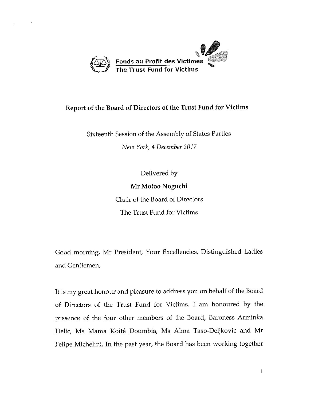

## Report of the Board of Directors of the Trust Fund for Victims

Sixteenth Session of the Assembly of States Parties *New York, 4 December 2017* 

Delivered by

Mr Motoo Noguchi

Chair of the Board of Directors The Trust Fund for Victims

Good morning, Mr President, Your Excellencies, Distinguished Ladies and Gentlemen,

It is my great honour and pleasure to address you on behalf of the Board of Directors of the Trust Fund for Victims. I am honoured by the presence of the four other members of the Board, Baroness Arrninka Helie, Ms Mama Koite Doumbia, Ms Alma Taso-Deljkovic and Mr Felipe Michelini. In the past year, the Board has been working together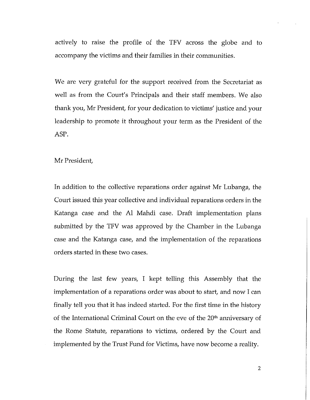actively to raise the profile of the TFV across the globe and to accompany the victims and their families in their communities.

We are very grateful for the support received from the Secretariat as well as from the Court's Principals and their staff members. We also thank you, Mr President, for your dedication to victims' justice and your leadership to promote it throughout your term as the President of the ASP.

Mr President,

In addition to the collective reparations order against Mr Lubanga, the Court issued this year collective and individual reparations orders in the Katanga case and the Al Mahdi case. Draft implementation plans submitted by the TFV was approved by the Chamber in the Lubanga case and the Katanga case, and the implementation of the reparations orders started in these two cases.

During the last few years, I kept telling this Assembly that the implementation of a reparations order was about to start, and now I can finally tell you that it has indeed started. For the first time in the history of the International Criminal Court on the eve of the 20<sup>th</sup> anniversary of the Rome Statute, reparations to victims, ordered by the Court and implemented by the Trust Fund for Victims, have now become a reality.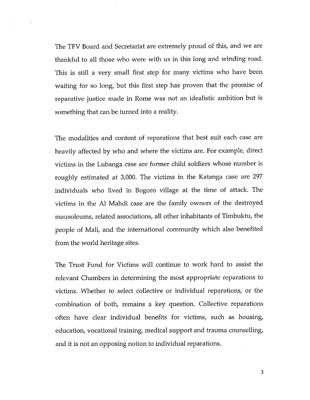The TFV Board and Secretariat are extremely proud of this, and we are thankful to all those who were with us in this long and winding road. This is still a very small first step for many victims who have been waiting for so long, but this first step has proven that the promise of reparative justice made in Rome was not an idealistic ambition but is something that can be turned into a reality.

The modalities and content of reparations that best suit each case are heavily affected by who and where the victims are. For example, direct victims in the Lubanga case are former child soldiers whose number is roughly estimated at 3,000. The victims in the Katanga case are 297 individuals who lived in Bogoro village at the time of attack. The victims in the Al Mahdi case are the family owners of the destroyed mausoleums, related associations, all other inhabitants of Timbuktu, the people of Mali, and the international community which also benefited from the world heritage sites.

The Trust Fund for Victims will continue to work hard to assist the relevant Chambers in determining the most appropriate reparations to victims. Whether to select collective or individual reparations, or the combination of both, remains a key question. Collective reparations often have clear individual benefits for victims, such as housing, education, vocational training, medical support and trauma counselling, and it is not an opposing notion to individual reparations.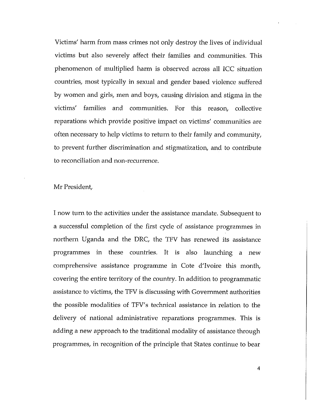Victims' harm from mass crimes not only destroy the lives of individual victims but also severely affect their families and communities. This phenomenon of multiplied harm is observed across all ICC situation countries, most typically in sexual and gender based violence suffered by women and girls, men and boys, causing division and stigma in the victims' families and communities. For this reason, collective reparations which provide positive impact on victims' communities are often necessary to help victims to return to their family and community, to prevent further discrimination and stigmatization, and to contribute to reconciliation and non-recurrence.

## Mr President,

I now turn to the activities under the assistance mandate. Subsequent to a successful completion of the first cycle of assistance programmes in northern Uganda and the DRC, the TFV has renewed its assistance programmes in these countries. It is also launching a new comprehensive assistance programme in Cote d'Ivoire this month, covering the entire territory of the country. In addition to programmatic assistance to victims, the TFV is discussing with Government authorities the possible modalities of TFV's technical assistance in relation to the delivery of national administrative reparations programmes. This is adding a new approach to the traditional modality of assistance through programmes, in recognition of the principle that States continue to bear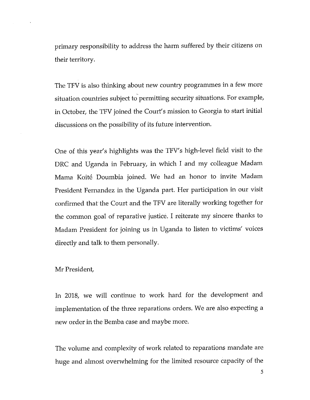primary responsibility to address the harm suffered by their citizens on their territory.

The TFV is also thinking about new country programmes in a few more situation countries subject to permitting security situations. For example, in October, the TFV joined the Court's mission to Georgia to start initial discussions on the possibility of its future intervention.

One of this year's highlights was the TFV's high-level field visit to the DRC and Uganda in February, in which I and my colleague Madam Mama Koite Doumbia joined. We had an honor to invite Madam President Fernandez in the Uganda part. Her participation in our visit confirmed that the Court and the TFV are literally working together for the common goal of reparative justice. I reiterate my sincere thanks to Madam President for joining us in Uganda to listen to victims' voices directly and talk to them personally.

Mr President,

In 2018, we will continue to work hard for the development and implementation of the three reparations orders. We are also expecting a new order in the Bemba case and maybe more.

The volume and complexity of work related to reparations mandate are huge and almost overwhelming for the limited resource capacity of the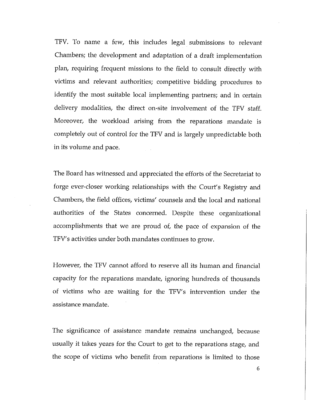TFV. To name a few, this includes legal submissions to relevant Chambers; the development and adaptation of a draft implementation plan, requiring frequent missions to the field to consult directly with victims and relevant authorities; competitive bidding procedures to identify the most suitable local implementing partners; and in certain delivery modalities, the direct on-site involvement of the TFV staff. Moreover, the workload arising from the reparations mandate is completely out of control for the TFV and is largely unpredictable both in its volume and pace.

The Board has witnessed and appreciated the efforts of the Secretariat to forge ever-closer working relationships with the Court's Registry and Chambers, the field offices, victims' counsels and the local and national authorities of the States concerned. Despite these organizational accomplishments that we are proud of, the pace of expansion of the TFV's activities under both mandates continues to grow.

However, the TFV cannot afford to reserve all its human and financial capacity for the reparations mandate, ignoring hundreds of thousands of victims who are waiting for the TFV's intervention under the assistance mandate.

The significance of assistance mandate remains unchanged, because usually it takes years for the Court to get to the reparations stage, and the scope of victims who benefit from reparations is limited to those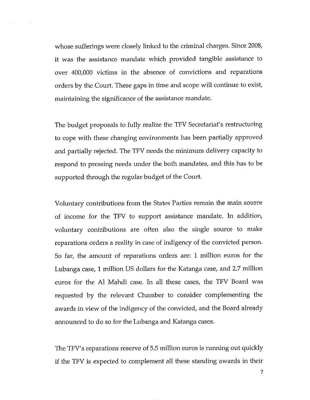whose sufferings were closely linked to the criminal charges. Since 2008, it was the assistance mandate which provided tangible assistance to over 400,000 victims in the absence of convictions and reparations orders by the Court. These gaps in time and scope will continue to exist maintaining the significance of the assistance mandate.

The budget proposals to fully realize the TFV Secretariat's restructuring to cope with these changing environments has been partially approved and partially rejected. The TFV needs the minimum delivery capacity to respond to pressing needs under the both mandates, and this has to be supported through the regular budget of the Court.

Voluntary contributions from the States Parties remain the main source of income for the TFV to support assistance mandate. In addition, voluntary contributions are often also the single source to make reparations orders a reality in case of indigency of the convicted person. So far, the amount of reparations orders are: 1 million euros for the Lubanga case, 1 million US dollars for the Katanga case, and 2.7 million euros for the Al Mahdi case. In all these cases, the TFV Board was requested by the relevant Chamber to consider complementing the awards in view of the indigency of the convicted, and the Board already announced to do so for the Lubanga and Katanga cases.

The TFV's reparations reserve of 5.5 million euros is running out quickly if the TFV is expected to complement all these standing awards in their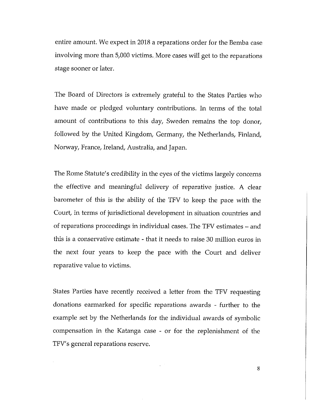entire amount. We expect in 2018 a reparations order for the Bemba case involving more than 5,000 victims. More cases will get to the reparations stage sooner or later.

The Board of Directors is extremely grateful to the States Parties who have made or pledged voluntary contributions. In terms of the total amount of contributions to this day, Sweden remains the top donor, followed by the United Kingdom, Germany, the Netherlands, Finland, Norway, France, Ireland, Australia, and Japan.

The Rome Statute's credibility in the eyes of the victims largely concerns the effective and meaningful delivery of reparative justice. A clear barometer of this is the ability of the TFV to keep the pace with the Court, in terms of jurisdictional development in situation countries and of reparations proceedings in individual cases. The TFV estimates - and this is a conservative estimate - that it needs to raise 30 million euros in the next four years to keep the pace with the Court and deliver reparative value to victims.

States Parties have recently received a letter from the TFV requesting donations earmarked for specific reparations awards - further to the example set by the Netherlands for the individual awards of symbolic compensation in the Katanga case - or for the replenishment of the TFV' s general reparations reserve.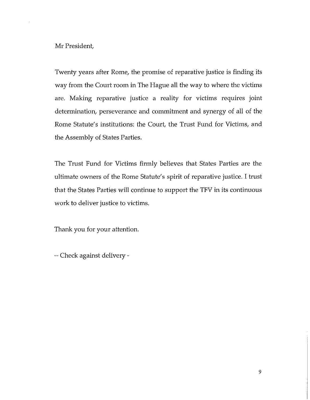Mr President,

Twenty years after Rome, the promise of reparative justice is finding its way from the Court room in The Hague all the way to where the victims are. Making reparative justice a reality for victims requires joint determination, perseverance and commitment and synergy of all of the Rome Statute's institutions: the Court, the Trust Fund for Victims, and the Assembly of States Parties.

The Trust Fund for Victims firmly believes that States Parties are the ultimate owners of the Rome Statute's spirit of reparative justice. I trust that the States Parties will continue to support the TFV in its continuous work to deliver justice to victims.

Thank you for your attention.

-- Check against delivery -